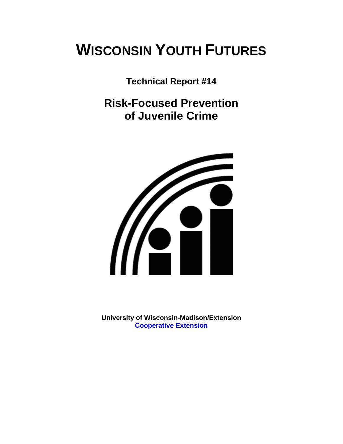# **WISCONSIN YOUTH FUTURES**

**Technical Report #14** 

**Risk-Focused Prevention of Juvenile Crime** 



**University of Wisconsin-Madison/Extension [Cooperative Extension](http://www1.uwex.edu/ces/index.cfm)**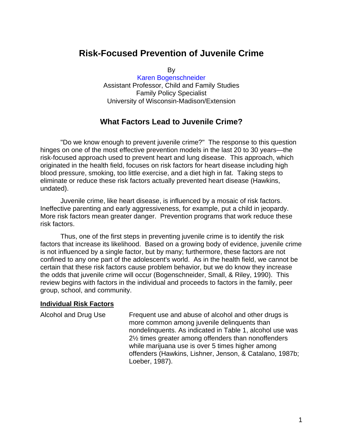# **Risk-Focused Prevention of Juvenile Crime**

By

[Karen Bogenschneider](http://www.uwex.edu/ces/flp/specialists/bogensch.html) Assistant Professor, Child and Family Studies Family Policy Specialist University of Wisconsin-Madison/Extension

## **What Factors Lead to Juvenile Crime?**

"Do we know enough to prevent juvenile crime?" The response to this question hinges on one of the most effective prevention models in the last 20 to 30 years—the risk-focused approach used to prevent heart and lung disease. This approach, which originated in the health field, focuses on risk factors for heart disease including high blood pressure, smoking, too little exercise, and a diet high in fat. Taking steps to eliminate or reduce these risk factors actually prevented heart disease (Hawkins, undated).

Juvenile crime, like heart disease, is influenced by a mosaic of risk factors. Ineffective parenting and early aggressiveness, for example, put a child in jeopardy. More risk factors mean greater danger. Prevention programs that work reduce these risk factors.

Thus, one of the first steps in preventing juvenile crime is to identify the risk factors that increase its likelihood. Based on a growing body of evidence, juvenile crime is not influenced by a single factor, but by many; furthermore, these factors are not confined to any one part of the adolescent's world. As in the health field, we cannot be certain that these risk factors cause problem behavior, but we do know they increase the odds that juvenile crime will occur (Bogenschneider, Small, & Riley, 1990). This review begins with factors in the individual and proceeds to factors in the family, peer group, school, and community.

### **Individual Risk Factors**

| Alcohol and Drug Use | Frequent use and abuse of alcohol and other drugs is<br>more common among juvenile delinquents than<br>nondelinquents. As indicated in Table 1, alcohol use was<br>21/ <sub>2</sub> times greater among offenders than nonoffenders |
|----------------------|-------------------------------------------------------------------------------------------------------------------------------------------------------------------------------------------------------------------------------------|
|                      | while marijuana use is over 5 times higher among<br>offenders (Hawkins, Lishner, Jenson, & Catalano, 1987b;<br>Loeber, 1987).                                                                                                       |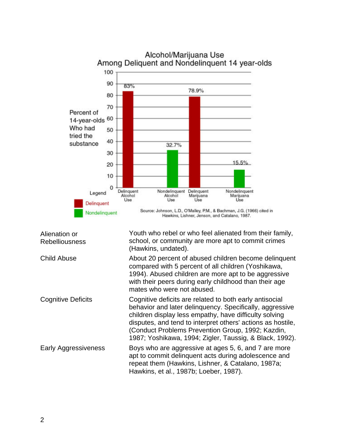

| Alienation or<br><b>Rebelliousness</b> | Youth who rebel or who feel alienated from their family,<br>school, or community are more apt to commit crimes<br>(Hawkins, undated).                                                                                                                                                                                                                        |
|----------------------------------------|--------------------------------------------------------------------------------------------------------------------------------------------------------------------------------------------------------------------------------------------------------------------------------------------------------------------------------------------------------------|
| <b>Child Abuse</b>                     | About 20 percent of abused children become delinquent<br>compared with 5 percent of all children (Yoshikawa,<br>1994). Abused children are more apt to be aggressive<br>with their peers during early childhood than their age<br>mates who were not abused.                                                                                                 |
| <b>Cognitive Deficits</b>              | Cognitive deficits are related to both early antisocial<br>behavior and later delinquency. Specifically, aggressive<br>children display less empathy, have difficulty solving<br>disputes, and tend to interpret others' actions as hostile,<br>(Conduct Problems Prevention Group, 1992; Kazdin,<br>1987; Yoshikawa, 1994; Zigler, Taussig, & Black, 1992). |
| <b>Early Aggressiveness</b>            | Boys who are aggressive at ages 5, 6, and 7 are more<br>apt to commit delinquent acts during adolescence and<br>repeat them (Hawkins, Lishner, & Catalano, 1987a;<br>Hawkins, et al., 1987b; Loeber, 1987).                                                                                                                                                  |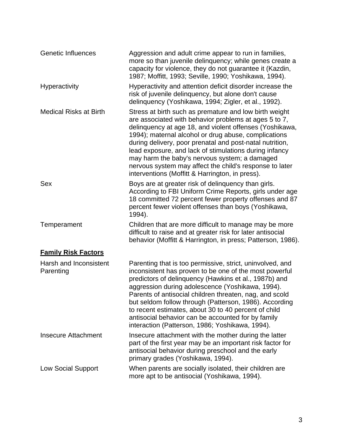| <b>Genetic Influences</b>           | Aggression and adult crime appear to run in families,<br>more so than juvenile delinquency; while genes create a<br>capacity for violence, they do not guarantee it (Kazdin,<br>1987; Moffitt, 1993; Seville, 1990; Yoshikawa, 1994).                                                                                                                                                                                                                                                                                   |
|-------------------------------------|-------------------------------------------------------------------------------------------------------------------------------------------------------------------------------------------------------------------------------------------------------------------------------------------------------------------------------------------------------------------------------------------------------------------------------------------------------------------------------------------------------------------------|
| Hyperactivity                       | Hyperactivity and attention deficit disorder increase the<br>risk of juvenile delinquency, but alone don't cause<br>delinquency (Yoshikawa, 1994; Zigler, et al., 1992).                                                                                                                                                                                                                                                                                                                                                |
| <b>Medical Risks at Birth</b>       | Stress at birth such as premature and low birth weight<br>are associated with behavior problems at ages 5 to 7,<br>delinquency at age 18, and violent offenses (Yoshikawa,<br>1994); maternal alcohol or drug abuse, complications<br>during delivery, poor prenatal and post-natal nutrition,<br>lead exposure, and lack of stimulations during infancy<br>may harm the baby's nervous system; a damaged<br>nervous system may affect the child's response to later<br>interventions (Moffitt & Harrington, in press). |
| <b>Sex</b>                          | Boys are at greater risk of delinquency than girls.<br>According to FBI Uniform Crime Reports, girls under age<br>18 committed 72 percent fewer property offenses and 87<br>percent fewer violent offenses than boys (Yoshikawa,<br>1994).                                                                                                                                                                                                                                                                              |
| Temperament                         | Children that are more difficult to manage may be more<br>difficult to raise and at greater risk for later antisocial<br>behavior (Moffitt & Harrington, in press; Patterson, 1986).                                                                                                                                                                                                                                                                                                                                    |
| <b>Family Risk Factors</b>          |                                                                                                                                                                                                                                                                                                                                                                                                                                                                                                                         |
| Harsh and Inconsistent<br>Parenting | Parenting that is too permissive, strict, uninvolved, and<br>inconsistent has proven to be one of the most powerful<br>predictors of delinquency (Hawkins et al., 1987b) and<br>aggression during adolescence (Yoshikawa, 1994).<br>Parents of antisocial children threaten, nag, and scold<br>but seldom follow through (Patterson, 1986). According<br>to recent estimates, about 30 to 40 percent of child<br>antisocial behavior can be accounted for by family<br>interaction (Patterson, 1986; Yoshikawa, 1994).  |
| <b>Insecure Attachment</b>          | Insecure attachment with the mother during the latter<br>part of the first year may be an important risk factor for<br>antisocial behavior during preschool and the early<br>primary grades (Yoshikawa, 1994).                                                                                                                                                                                                                                                                                                          |
| <b>Low Social Support</b>           | When parents are socially isolated, their children are<br>more apt to be antisocial (Yoshikawa, 1994).                                                                                                                                                                                                                                                                                                                                                                                                                  |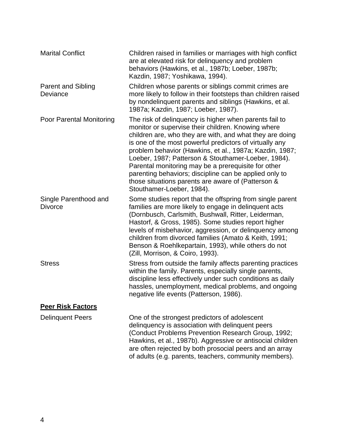| <b>Marital Conflict</b>                 | Children raised in families or marriages with high conflict<br>are at elevated risk for delinguency and problem<br>behaviors (Hawkins, et al., 1987b; Loeber, 1987b;<br>Kazdin, 1987; Yoshikawa, 1994).                                                                                                                                                                                                                                                                                                                                                   |
|-----------------------------------------|-----------------------------------------------------------------------------------------------------------------------------------------------------------------------------------------------------------------------------------------------------------------------------------------------------------------------------------------------------------------------------------------------------------------------------------------------------------------------------------------------------------------------------------------------------------|
| <b>Parent and Sibling</b><br>Deviance   | Children whose parents or siblings commit crimes are<br>more likely to follow in their footsteps than children raised<br>by nondelinquent parents and siblings (Hawkins, et al.<br>1987a; Kazdin, 1987; Loeber, 1987).                                                                                                                                                                                                                                                                                                                                    |
| Poor Parental Monitoring                | The risk of delinguency is higher when parents fail to<br>monitor or supervise their children. Knowing where<br>children are, who they are with, and what they are doing<br>is one of the most powerful predictors of virtually any<br>problem behavior (Hawkins, et al., 1987a; Kazdin, 1987;<br>Loeber, 1987; Patterson & Stouthamer-Loeber, 1984).<br>Parental monitoring may be a prerequisite for other<br>parenting behaviors; discipline can be applied only to<br>those situations parents are aware of (Patterson &<br>Stouthamer-Loeber, 1984). |
| Single Parenthood and<br><b>Divorce</b> | Some studies report that the offspring from single parent<br>families are more likely to engage in delinquent acts<br>(Dornbusch, Carlsmith, Bushwall, Ritter, Leiderman,<br>Hastorf, & Gross, 1985). Some studies report higher<br>levels of misbehavior, aggression, or delinquency among<br>children from divorced families (Amato & Keith, 1991;<br>Benson & Roehlkepartain, 1993), while others do not<br>(Zill, Morrison, & Coiro, 1993).                                                                                                           |
| <b>Stress</b>                           | Stress from outside the family affects parenting practices<br>within the family. Parents, especially single parents,<br>discipline less effectively under such conditions as daily<br>hassles, unemployment, medical problems, and ongoing<br>negative life events (Patterson, 1986).                                                                                                                                                                                                                                                                     |
| <b>Peer Risk Factors</b>                |                                                                                                                                                                                                                                                                                                                                                                                                                                                                                                                                                           |
| <b>Delinquent Peers</b>                 | One of the strongest predictors of adolescent<br>delinquency is association with delinquent peers<br>(Conduct Problems Prevention Research Group, 1992;<br>Hawkins, et al., 1987b). Aggressive or antisocial children<br>are often rejected by both prosocial peers and an array<br>of adults (e.g. parents, teachers, community members).                                                                                                                                                                                                                |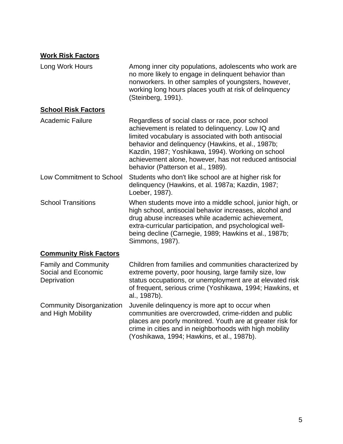## **Work Risk Factors**

| Long Work Hours                                                   | Among inner city populations, adolescents who work are<br>no more likely to engage in delinquent behavior than<br>nonworkers. In other samples of youngsters, however,<br>working long hours places youth at risk of delinquency<br>(Steinberg, 1991).                                                                                                                  |
|-------------------------------------------------------------------|-------------------------------------------------------------------------------------------------------------------------------------------------------------------------------------------------------------------------------------------------------------------------------------------------------------------------------------------------------------------------|
| <b>School Risk Factors</b>                                        |                                                                                                                                                                                                                                                                                                                                                                         |
| Academic Failure                                                  | Regardless of social class or race, poor school<br>achievement is related to delinquency. Low IQ and<br>limited vocabulary is associated with both antisocial<br>behavior and delinquency (Hawkins, et al., 1987b;<br>Kazdin, 1987; Yoshikawa, 1994). Working on school<br>achievement alone, however, has not reduced antisocial<br>behavior (Patterson et al., 1989). |
| Low Commitment to School                                          | Students who don't like school are at higher risk for<br>delinquency (Hawkins, et al. 1987a; Kazdin, 1987;<br>Loeber, 1987).                                                                                                                                                                                                                                            |
| <b>School Transitions</b>                                         | When students move into a middle school, junior high, or<br>high school, antisocial behavior increases, alcohol and<br>drug abuse increases while academic achievement,<br>extra-curricular participation, and psychological well-<br>being decline (Carnegie, 1989; Hawkins et al., 1987b;<br>Simmons, 1987).                                                          |
| <b>Community Risk Factors</b>                                     |                                                                                                                                                                                                                                                                                                                                                                         |
| <b>Family and Community</b><br>Social and Economic<br>Deprivation | Children from families and communities characterized by<br>extreme poverty, poor housing, large family size, low<br>status occupations, or unemployment are at elevated risk                                                                                                                                                                                            |

status occupations, or unemployment are at elevated risk of frequent, serious crime (Yoshikawa, 1994; Hawkins, et al., 1987b). Juvenile delinquency is more apt to occur when

Community Disorganization and High Mobility communities are overcrowded, crime-ridden and public places are poorly monitored. Youth are at greater risk for crime in cities and in neighborhoods with high mobility (Yoshikawa, 1994; Hawkins, et al., 1987b).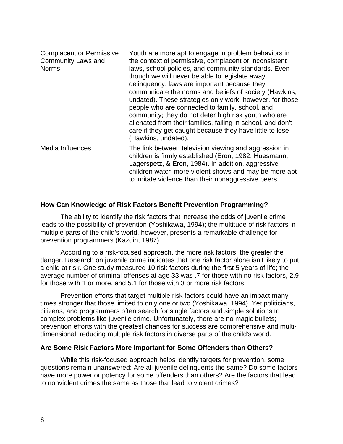| <b>Complacent or Permissive</b><br><b>Community Laws and</b><br><b>Norms</b> | Youth are more apt to engage in problem behaviors in<br>the context of permissive, complacent or inconsistent<br>laws, school policies, and community standards. Even<br>though we will never be able to legislate away<br>delinguency, laws are important because they<br>communicate the norms and beliefs of society (Hawkins,<br>undated). These strategies only work, however, for those<br>people who are connected to family, school, and<br>community; they do not deter high risk youth who are<br>alienated from their families, failing in school, and don't<br>care if they get caught because they have little to lose<br>(Hawkins, undated). |
|------------------------------------------------------------------------------|------------------------------------------------------------------------------------------------------------------------------------------------------------------------------------------------------------------------------------------------------------------------------------------------------------------------------------------------------------------------------------------------------------------------------------------------------------------------------------------------------------------------------------------------------------------------------------------------------------------------------------------------------------|
| Media Influences                                                             | The link between television viewing and aggression in<br>children is firmly established (Eron, 1982; Huesmann,<br>Lagerspetz, & Eron, 1984). In addition, aggressive<br>children watch more violent shows and may be more apt<br>to imitate violence than their nonaggressive peers.                                                                                                                                                                                                                                                                                                                                                                       |

## **How Can Knowledge of Risk Factors Benefit Prevention Programming?**

The ability to identify the risk factors that increase the odds of juvenile crime leads to the possibility of prevention (Yoshikawa, 1994); the multitude of risk factors in multiple parts of the child's world, however, presents a remarkable challenge for prevention programmers (Kazdin, 1987).

According to a risk-focused approach, the more risk factors, the greater the danger. Research on juvenile crime indicates that one risk factor alone isn't likely to put a child at risk. One study measured 10 risk factors during the first 5 years of life; the average number of criminal offenses at age 33 was .7 for those with no risk factors, 2.9 for those with 1 or more, and 5.1 for those with 3 or more risk factors.

Prevention efforts that target multiple risk factors could have an impact many times stronger that those limited to only one or two (Yoshikawa, 1994). Yet politicians, citizens, and programmers often search for single factors and simple solutions to complex problems like juvenile crime. Unfortunately, there are no magic bullets; prevention efforts with the greatest chances for success are comprehensive and multidimensional, reducing multiple risk factors in diverse parts of the child's world.

### **Are Some Risk Factors More Important for Some Offenders than Others?**

While this risk-focused approach helps identify targets for prevention, some questions remain unanswered: Are all juvenile delinquents the same? Do some factors have more power or potency for some offenders than others? Are the factors that lead to nonviolent crimes the same as those that lead to violent crimes?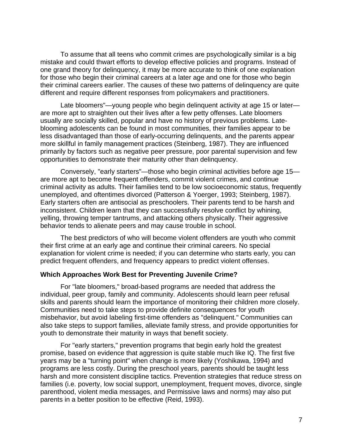To assume that all teens who commit crimes are psychologically similar is a big mistake and could thwart efforts to develop effective policies and programs. Instead of one grand theory for delinquency, it may be more accurate to think of one explanation for those who begin their criminal careers at a later age and one for those who begin their criminal careers earlier. The causes of these two patterns of delinquency are quite different and require different responses from policymakers and practitioners.

Late bloomers"—young people who begin delinquent activity at age 15 or later are more apt to straighten out their lives after a few petty offenses. Late bloomers usually are socially skilled, popular and have no history of previous problems. Lateblooming adolescents can be found in most communities, their families appear to be less disadvantaged than those of early-occurring delinquents, and the parents appear more skillful in family management practices (Steinberg, 1987). They are influenced primarily by factors such as negative peer pressure, poor parental supervision and few opportunities to demonstrate their maturity other than delinquency.

Conversely, "early starters"—those who begin criminal activities before age 15 are more apt to become frequent offenders, commit violent crimes, and continue criminal activity as adults. Their families tend to be low socioeconomic status, frequently unemployed, and oftentimes divorced (Patterson & Yoerger, 1993; Steinberg, 1987). Early starters often are antisocial as preschoolers. Their parents tend to be harsh and inconsistent. Children learn that they can successfully resolve conflict by whining, yelling, throwing temper tantrums, and attacking others physically. Their aggressive behavior tends to alienate peers and may cause trouble in school.

The best predictors of who will become violent offenders are youth who commit their first crime at an early age and continue their criminal careers. No special explanation for violent crime is needed; if you can determine who starts early, you can predict frequent offenders, and frequency appears to predict violent offenses.

### **Which Approaches Work Best for Preventing Juvenile Crime?**

For "late bloomers," broad-based programs are needed that address the individual, peer group, family and community. Adolescents should learn peer refusal skills and parents should learn the importance of monitoring their children more closely. Communities need to take steps to provide definite consequences for youth misbehavior, but avoid labeling first-time offenders as "delinquent." Communities can also take steps to support families, alleviate family stress, and provide opportunities for youth to demonstrate their maturity in ways that benefit society.

For "early starters," prevention programs that begin early hold the greatest promise, based on evidence that aggression is quite stable much like IQ. The first five years may be a "turning point" when change is more likely (Yoshikawa, 1994) and programs are less costly. During the preschool years, parents should be taught less harsh and more consistent discipline tactics. Prevention strategies that reduce stress on families (i.e. poverty, low social support, unemployment, frequent moves, divorce, single parenthood, violent media messages, and Permissive laws and norms) may also put parents in a better position to be effective (Reid, 1993).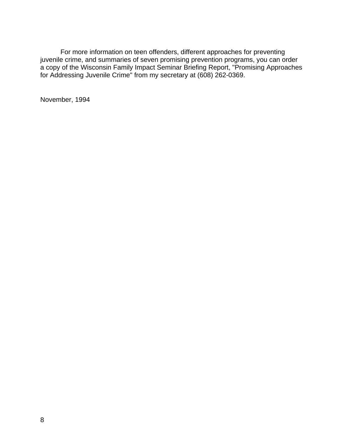For more information on teen offenders, different approaches for preventing juvenile crime, and summaries of seven promising prevention programs, you can order a copy of the Wisconsin Family Impact Seminar Briefing Report, "Promising Approaches for Addressing Juvenile Crime" from my secretary at (608) 262-0369.

November, 1994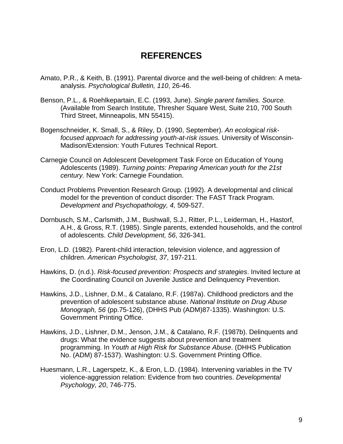## **REFERENCES**

- Amato, P.R., & Keith, B. (1991). Parental divorce and the well-being of children: A metaanalysis. *Psychological Bulletin, 110*, 26-46.
- Benson, P.L., & Roehlkepartain, E.C. (1993, June). *Single parent families. Source.* (Available from Search Institute, Thresher Square West, Suite 210, 700 South Third Street, Minneapolis, MN 55415).
- Bogenschneider, K. Small, S., & Riley, D. (1990, September). *An ecological riskfocused approach for addressing youth-at-risk issues.* University of Wisconsin-Madison/Extension: Youth Futures Technical Report.
- Carnegie Council on Adolescent Development Task Force on Education of Young Adolescents (1989). *Turning points: Preparing American youth for the 21st century.* New York: Carnegie Foundation.
- Conduct Problems Prevention Research Group. (1992). A developmental and clinical model for the prevention of conduct disorder: The FAST Track Program. *Development and Psychopathology, 4,* 509-527.
- Dornbusch, S.M., Carlsmith, J.M., Bushwall, S.J., Ritter, P.L., Leiderman, H., Hastorf, A.H., & Gross, R.T. (1985). Single parents, extended households, and the control of adolescents. *Child Development, 56*, 326-341.
- Eron, L.D. (1982). Parent-child interaction, television violence, and aggression of children. *American Psychologist, 37*, 197-211.
- Hawkins, D. (n.d.). *Risk-focused prevention: Prospects and strategies*. Invited lecture at the Coordinating Council on Juvenile Justice and Delinquency Prevention.
- Hawkins, J.D., Lishner, D.M., & Catalano, R.F. (1987a). Childhood predictors and the prevention of adolescent substance abuse. *National Institute on Drug Abuse Monograph, 56* (pp.75-126), (DHHS Pub (ADM)87-1335). Washington: U.S. Government Printing Office.
- Hawkins, J.D., Lishner, D.M., Jenson, J.M., & Catalano, R.F. (1987b). Delinquents and drugs: What the evidence suggests about prevention and treatment programming. In *Youth at High Risk for Substance Abuse*. (DHHS Publication No. (ADM) 87-1537). Washington: U.S. Government Printing Office.
- Huesmann, L.R., Lagerspetz, K., & Eron, L.D. (1984). Intervening variables in the TV violence-aggression relation: Evidence from two countries. *Developmental Psychology, 20*, 746-775.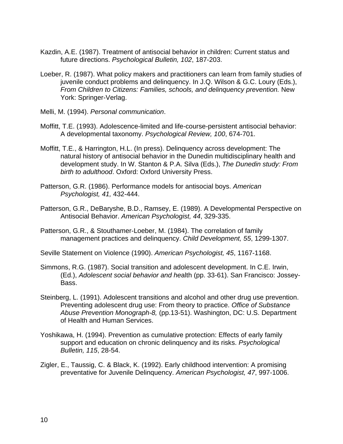- Kazdin, A.E. (1987). Treatment of antisocial behavior in children: Current status and future directions. *Psychological Bulletin, 102*, 187-203.
- Loeber, R. (1987). What policy makers and practitioners can learn from family studies of juvenile conduct problems and delinquency. In J.Q. Wilson & G.C. Loury (Eds.), *From Children to Citizens: Families, schools, and delinquency prevention.* New York: Springer-Verlag.
- Melli, M. (1994). *Personal communication*.
- Moffitt, T.E. (1993). Adolescence-limited and life-course-persistent antisocial behavior: A developmental taxonomy. *Psychological Review, 100*, 674-701.
- Moffitt, T.E., & Harrington, H.L. (In press). Delinquency across development: The natural history of antisocial behavior in the Dunedin multidisciplinary health and development study. In W. Stanton & P.A. Silva (Eds.), *The Dunedin study: From birth to adulthood*. Oxford: Oxford University Press.
- Patterson, G.R. (1986). Performance models for antisocial boys. *American Psychologist, 41,* 432-444.
- Patterson, G.R., DeBaryshe, B.D., Ramsey, E. (1989). A Developmental Perspective on Antisocial Behavior. *American Psychologist, 44*, 329-335.
- Patterson, G.R., & Stouthamer-Loeber, M. (1984). The correlation of family management practices and delinquency. *Child Development, 55*, 1299-1307.
- Seville Statement on Violence (1990). *American Psychologist, 45*, 1167-1168.
- Simmons, R.G. (1987). Social transition and adolescent development. In C.E. Irwin, (Ed.), *Adolescent social behavior and he*alth (pp. 33-61). San Francisco: Jossey-Bass.
- Steinberg, L. (1991). Adolescent transitions and alcohol and other drug use prevention. Preventing adolescent drug use: From theory to practice. *Office of Substance Abuse Prevention Monograph-8,* (pp.13-51). Washington, DC: U.S. Department of Health and Human Services.
- Yoshikawa, H. (1994). Prevention as cumulative protection: Effects of early family support and education on chronic delinquency and its risks. *Psychological Bulletin, 115*, 28-54.
- Zigler, E., Taussig, C. & Black, K. (1992). Early childhood intervention: A promising preventative for Juvenile Delinquency. *American Psychologist, 47*, 997-1006.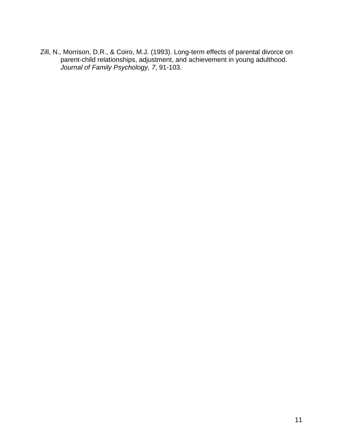Zill, N., Morrison, D.R., & Coiro, M.J. (1993). Long-term effects of parental divorce on parent-child relationships, adjustment, and achievement in young adulthood. *Journal of Family Psychology, 7*, 91-103.